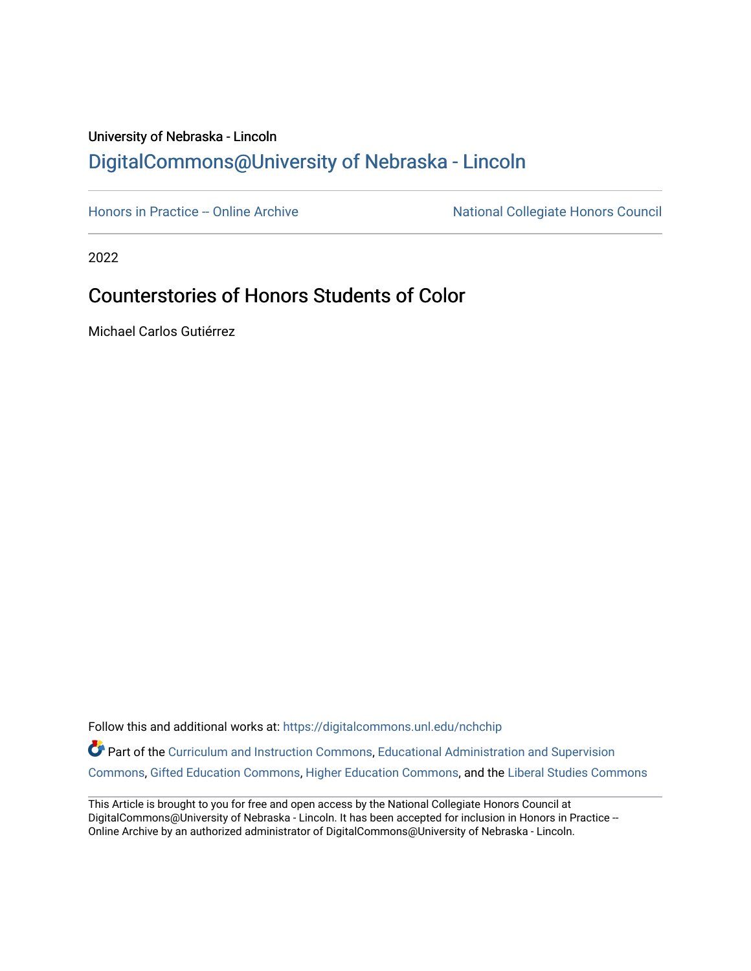# University of Nebraska - Lincoln [DigitalCommons@University of Nebraska - Lincoln](https://digitalcommons.unl.edu/)

[Honors in Practice -- Online Archive](https://digitalcommons.unl.edu/nchchip) National Collegiate Honors Council

2022

# Counterstories of Honors Students of Color

Michael Carlos Gutiérrez

Follow this and additional works at: [https://digitalcommons.unl.edu/nchchip](https://digitalcommons.unl.edu/nchchip?utm_source=digitalcommons.unl.edu%2Fnchchip%2F372&utm_medium=PDF&utm_campaign=PDFCoverPages) 

Part of the [Curriculum and Instruction Commons,](http://network.bepress.com/hgg/discipline/786?utm_source=digitalcommons.unl.edu%2Fnchchip%2F372&utm_medium=PDF&utm_campaign=PDFCoverPages) [Educational Administration and Supervision](http://network.bepress.com/hgg/discipline/787?utm_source=digitalcommons.unl.edu%2Fnchchip%2F372&utm_medium=PDF&utm_campaign=PDFCoverPages)  [Commons](http://network.bepress.com/hgg/discipline/787?utm_source=digitalcommons.unl.edu%2Fnchchip%2F372&utm_medium=PDF&utm_campaign=PDFCoverPages), [Gifted Education Commons,](http://network.bepress.com/hgg/discipline/1048?utm_source=digitalcommons.unl.edu%2Fnchchip%2F372&utm_medium=PDF&utm_campaign=PDFCoverPages) [Higher Education Commons](http://network.bepress.com/hgg/discipline/1245?utm_source=digitalcommons.unl.edu%2Fnchchip%2F372&utm_medium=PDF&utm_campaign=PDFCoverPages), and the [Liberal Studies Commons](http://network.bepress.com/hgg/discipline/1042?utm_source=digitalcommons.unl.edu%2Fnchchip%2F372&utm_medium=PDF&utm_campaign=PDFCoverPages)

This Article is brought to you for free and open access by the National Collegiate Honors Council at DigitalCommons@University of Nebraska - Lincoln. It has been accepted for inclusion in Honors in Practice --Online Archive by an authorized administrator of DigitalCommons@University of Nebraska - Lincoln.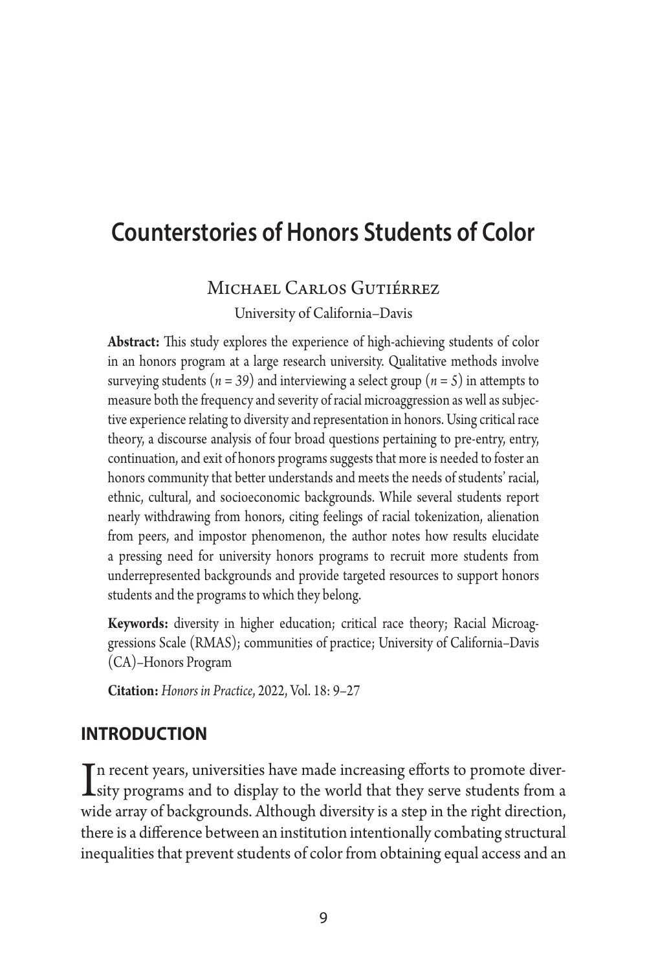# **Counterstories of Honors Students of Color**

#### Michael Carlos Gutiérrez

University of California–Davis

**Abstract:** This study explores the experience of high-achieving students of color in an honors program at a large research university. Qualitative methods involve surveying students ( $n = 39$ ) and interviewing a select group ( $n = 5$ ) in attempts to measure both the frequency and severity of racial microaggression as well as subjective experience relating to diversity and representation in honors. Using critical race theory, a discourse analysis of four broad questions pertaining to pre-entry, entry, continuation, and exit of honors programs suggests that more is needed to foster an honors community that better understands and meets the needs of students' racial, ethnic, cultural, and socioeconomic backgrounds. While several students report nearly withdrawing from honors, citing feelings of racial tokenization, alienation from peers, and impostor phenomenon, the author notes how results elucidate a pressing need for university honors programs to recruit more students from underrepresented backgrounds and provide targeted resources to support honors students and the programs to which they belong.

**Keywords:** diversity in higher education; critical race theory; Racial Microaggressions Scale (RMAS); communities of practice; University of California–Davis (CA)–Honors Program

**Citation:** *Honors in Practice*, 2022, Vol. 18: 9–27

### **introduction**

In recent years, universities have made increasing efforts to promote diver-<br>sity programs and to display to the world that they serve students from a<br>said a gauge of hadrogen de Although displayitaire attacing the sight d  $\blacksquare$  n recent years, universities have made increasing efforts to promote diverwide array of backgrounds. Although diversity is a step in the right direction, there is a difference between an institution intentionally combating structural inequalities that prevent students of color from obtaining equal access and an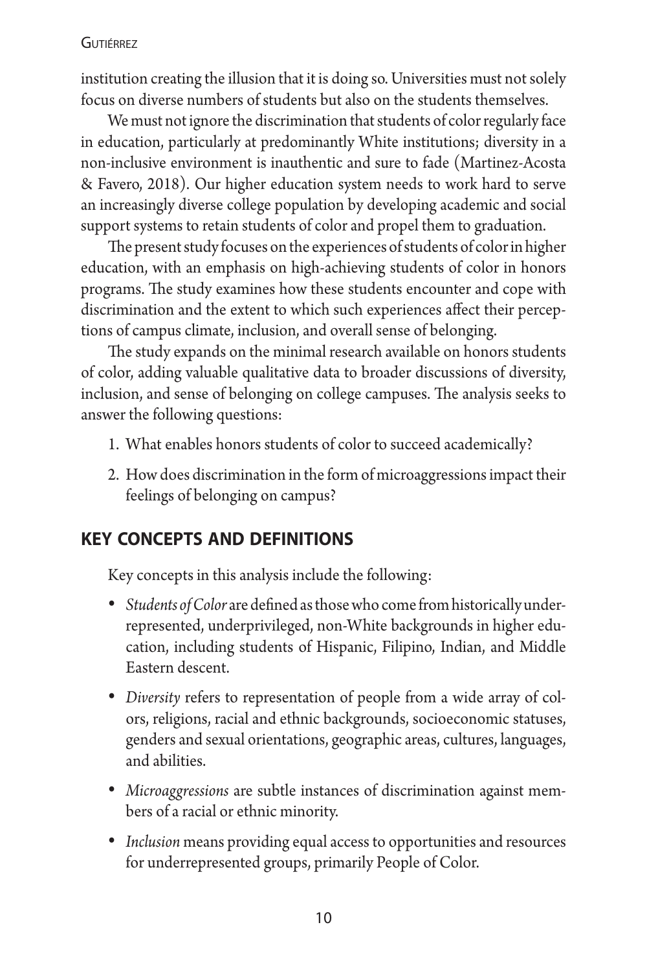institution creating the illusion that it is doing so. Universities must not solely focus on diverse numbers of students but also on the students themselves.

We must not ignore the discrimination that students of color regularly face in education, particularly at predominantly White institutions; diversity in a non-inclusive environment is inauthentic and sure to fade (Martinez-Acosta & Favero, 2018). Our higher education system needs to work hard to serve an increasingly diverse college population by developing academic and social support systems to retain students of color and propel them to graduation.

The present study focuses on the experiences of students of color in higher education, with an emphasis on high-achieving students of color in honors programs. The study examines how these students encounter and cope with discrimination and the extent to which such experiences affect their perceptions of campus climate, inclusion, and overall sense of belonging.

The study expands on the minimal research available on honors students of color, adding valuable qualitative data to broader discussions of diversity, inclusion, and sense of belonging on college campuses. The analysis seeks to answer the following questions:

- 1. What enables honors students of color to succeed academically?
- 2. How does discrimination in the form of microaggressions impact their feelings of belonging on campus?

# **key concepts and definitions**

Key concepts in this analysis include the following:

- *Students of Color* are defined as those who come from historically underrepresented, underprivileged, non-White backgrounds in higher education, including students of Hispanic, Filipino, Indian, and Middle Eastern descent.
- *Diversity* refers to representation of people from a wide array of colors, religions, racial and ethnic backgrounds, socioeconomic statuses, genders and sexual orientations, geographic areas, cultures, languages, and abilities.
- *Microaggressions* are subtle instances of discrimination against members of a racial or ethnic minority.
- *Inclusion* means providing equal access to opportunities and resources for underrepresented groups, primarily People of Color.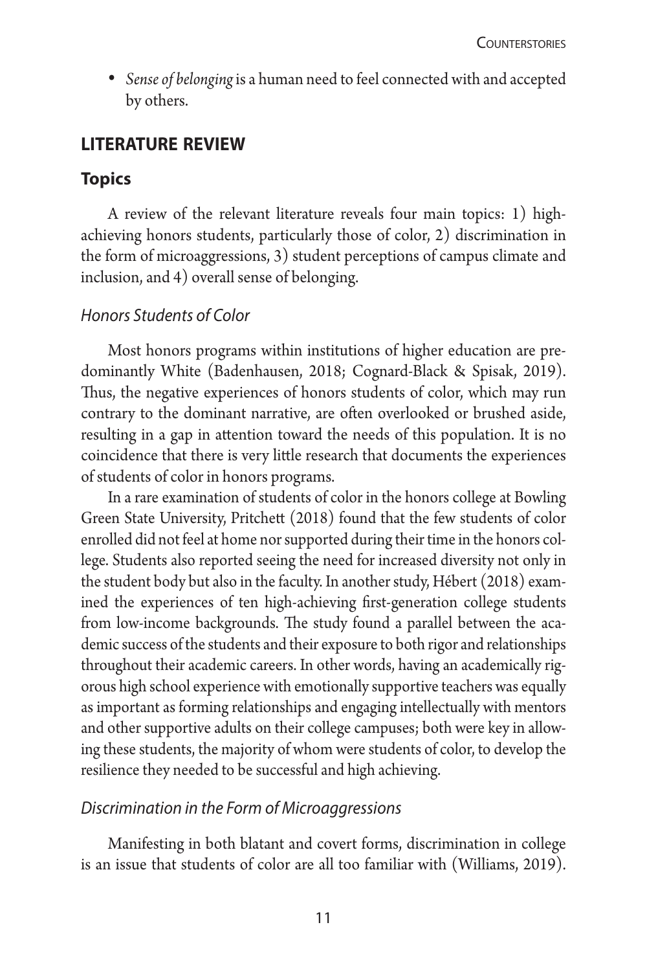• *Sense of belonging*is a human need to feel connected with and accepted by others.

# **literature review**

## **Topics**

A review of the relevant literature reveals four main topics: 1) highachieving honors students, particularly those of color, 2) discrimination in the form of microaggressions, 3) student perceptions of campus climate and inclusion, and 4) overall sense of belonging.

#### *Honors Students of Color*

Most honors programs within institutions of higher education are predominantly White (Badenhausen, 2018; Cognard-Black & Spisak, 2019). Thus, the negative experiences of honors students of color, which may run contrary to the dominant narrative, are often overlooked or brushed aside, resulting in a gap in attention toward the needs of this population. It is no coincidence that there is very little research that documents the experiences of students of color in honors programs.

In a rare examination of students of color in the honors college at Bowling Green State University, Pritchett (2018) found that the few students of color enrolled did not feel at home nor supported during their time in the honors college. Students also reported seeing the need for increased diversity not only in the student body but also in the faculty. In another study, Hébert (2018) examined the experiences of ten high-achieving first-generation college students from low-income backgrounds. The study found a parallel between the academic success of the students and their exposure to both rigor and relationships throughout their academic careers. In other words, having an academically rigorous high school experience with emotionally supportive teachers was equally as important as forming relationships and engaging intellectually with mentors and other supportive adults on their college campuses; both were key in allowing these students, the majority of whom were students of color, to develop the resilience they needed to be successful and high achieving.

#### *Discrimination in the Form of Microaggressions*

Manifesting in both blatant and covert forms, discrimination in college is an issue that students of color are all too familiar with (Williams, 2019).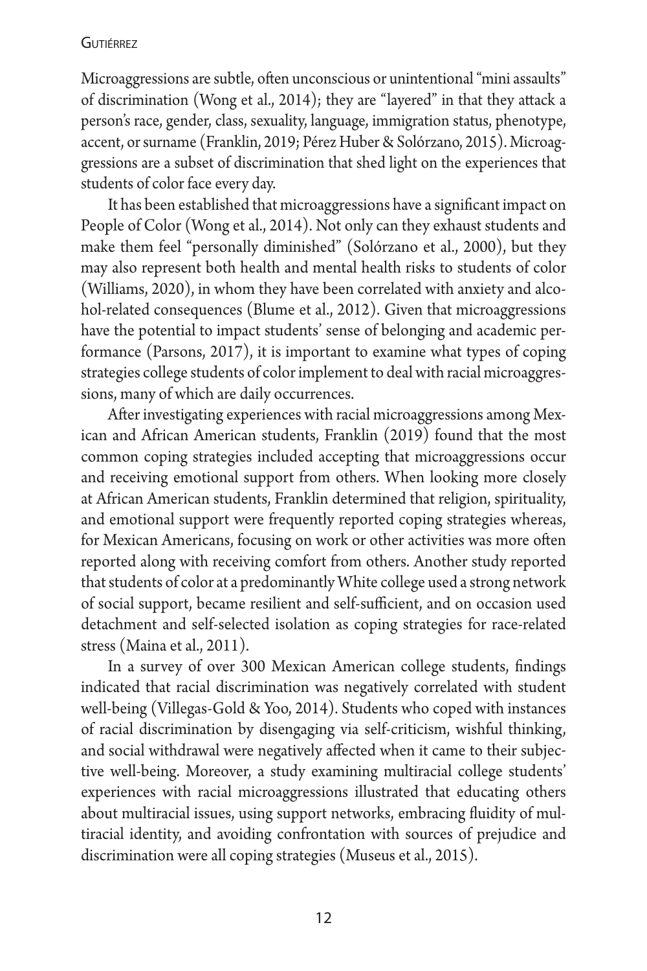Microaggressions are subtle, often unconscious or unintentional "mini assaults" of discrimination (Wong et al., 2014); they are "layered" in that they attack a person's race, gender, class, sexuality, language, immigration status, phenotype, accent, or surname (Franklin, 2019; Pérez Huber & Solórzano, 2015). Microaggressions are a subset of discrimination that shed light on the experiences that students of color face every day.

It has been established that microaggressions have a significant impact on People of Color (Wong et al., 2014). Not only can they exhaust students and make them feel "personally diminished" (Solórzano et al., 2000), but they may also represent both health and mental health risks to students of color (Williams, 2020), in whom they have been correlated with anxiety and alcohol-related consequences (Blume et al., 2012). Given that microaggressions have the potential to impact students' sense of belonging and academic performance (Parsons, 2017), it is important to examine what types of coping strategies college students of color implement to deal with racial microaggressions, many of which are daily occurrences.

After investigating experiences with racial microaggressions among Mexican and African American students, Franklin (2019) found that the most common coping strategies included accepting that microaggressions occur and receiving emotional support from others. When looking more closely at African American students, Franklin determined that religion, spirituality, and emotional support were frequently reported coping strategies whereas, for Mexican Americans, focusing on work or other activities was more often reported along with receiving comfort from others. Another study reported that students of color at a predominantly White college used a strong network of social support, became resilient and self-sufficient, and on occasion used detachment and self-selected isolation as coping strategies for race-related stress (Maina et al., 2011).

In a survey of over 300 Mexican American college students, findings indicated that racial discrimination was negatively correlated with student well-being (Villegas-Gold & Yoo, 2014). Students who coped with instances of racial discrimination by disengaging via self-criticism, wishful thinking, and social withdrawal were negatively affected when it came to their subjective well-being. Moreover, a study examining multiracial college students' experiences with racial microaggressions illustrated that educating others about multiracial issues, using support networks, embracing fluidity of multiracial identity, and avoiding confrontation with sources of prejudice and discrimination were all coping strategies (Museus et al., 2015).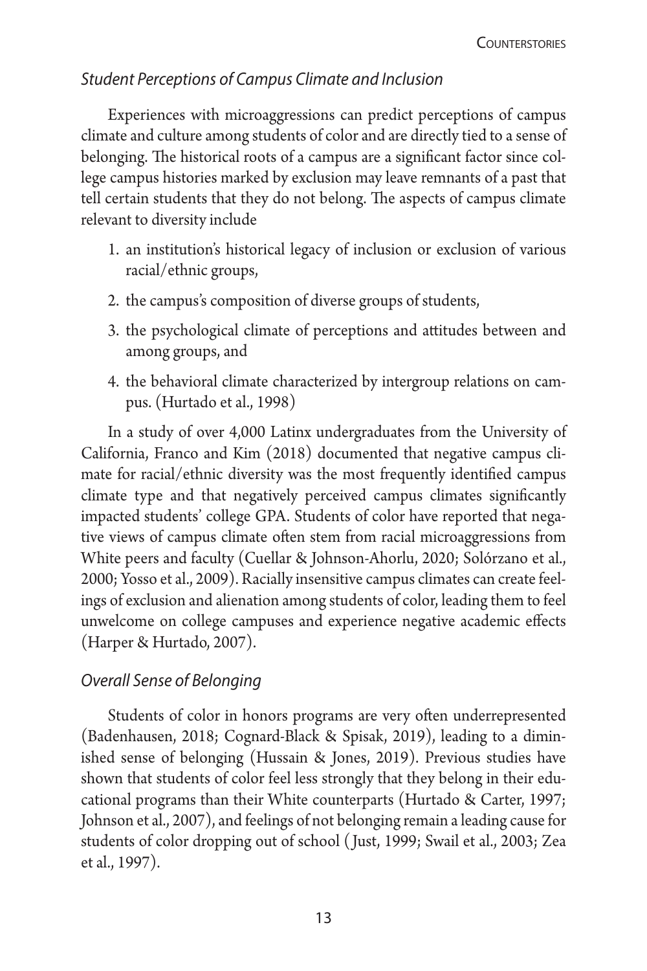# *Student Perceptions of Campus Climate and Inclusion*

Experiences with microaggressions can predict perceptions of campus climate and culture among students of color and are directly tied to a sense of belonging. The historical roots of a campus are a significant factor since college campus histories marked by exclusion may leave remnants of a past that tell certain students that they do not belong. The aspects of campus climate relevant to diversity include

- 1. an institution's historical legacy of inclusion or exclusion of various racial/ethnic groups,
- 2. the campus's composition of diverse groups of students,
- 3. the psychological climate of perceptions and attitudes between and among groups, and
- 4. the behavioral climate characterized by intergroup relations on campus. (Hurtado et al., 1998)

In a study of over 4,000 Latinx undergraduates from the University of California, Franco and Kim (2018) documented that negative campus climate for racial/ethnic diversity was the most frequently identified campus climate type and that negatively perceived campus climates significantly impacted students' college GPA. Students of color have reported that negative views of campus climate often stem from racial microaggressions from White peers and faculty (Cuellar & Johnson-Ahorlu, 2020; Solórzano et al., 2000; Yosso et al., 2009). Racially insensitive campus climates can create feelings of exclusion and alienation among students of color, leading them to feel unwelcome on college campuses and experience negative academic effects (Harper & Hurtado, 2007).

# *Overall Sense of Belonging*

Students of color in honors programs are very often underrepresented (Badenhausen, 2018; Cognard-Black & Spisak, 2019), leading to a diminished sense of belonging (Hussain & Jones, 2019). Previous studies have shown that students of color feel less strongly that they belong in their educational programs than their White counterparts (Hurtado & Carter, 1997; Johnson et al., 2007), and feelings of not belonging remain a leading cause for students of color dropping out of school ( Just, 1999; Swail et al., 2003; Zea et al., 1997).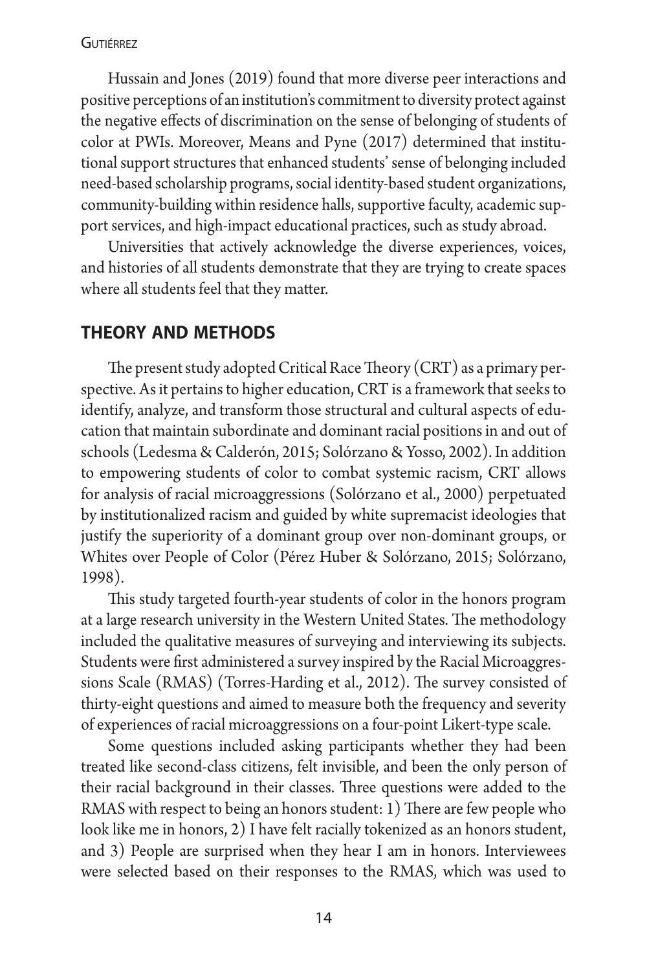Hussain and Jones (2019) found that more diverse peer interactions and positive perceptions of an institution's commitment to diversity protect against the negative effects of discrimination on the sense of belonging of students of color at PWIs. Moreover, Means and Pyne (2017) determined that institutional support structures that enhanced students' sense of belonging included need-based scholarship programs, social identity-based student organizations, community-building within residence halls, supportive faculty, academic support services, and high-impact educational practices, such as study abroad.

Universities that actively acknowledge the diverse experiences, voices, and histories of all students demonstrate that they are trying to create spaces where all students feel that they matter.

### **theory and methods**

The present study adopted Critical Race Theory (CRT) as a primary perspective. As it pertains to higher education, CRT is a framework that seeks to identify, analyze, and transform those structural and cultural aspects of education that maintain subordinate and dominant racial positions in and out of schools (Ledesma & Calderón, 2015; Solórzano & Yosso, 2002). In addition to empowering students of color to combat systemic racism, CRT allows for analysis of racial microaggressions (Solórzano et al., 2000) perpetuated by institutionalized racism and guided by white supremacist ideologies that justify the superiority of a dominant group over non-dominant groups, or Whites over People of Color (Pérez Huber & Solórzano, 2015; Solórzano, 1998).

This study targeted fourth-year students of color in the honors program at a large research university in the Western United States. The methodology included the qualitative measures of surveying and interviewing its subjects. Students were first administered a survey inspired by the Racial Microaggressions Scale (RMAS) (Torres-Harding et al., 2012). The survey consisted of thirty-eight questions and aimed to measure both the frequency and severity of experiences of racial microaggressions on a four-point Likert-type scale.

Some questions included asking participants whether they had been treated like second-class citizens, felt invisible, and been the only person of their racial background in their classes. Three questions were added to the RMAS with respect to being an honors student: 1) There are few people who look like me in honors, 2) I have felt racially tokenized as an honors student, and 3) People are surprised when they hear I am in honors. Interviewees were selected based on their responses to the RMAS, which was used to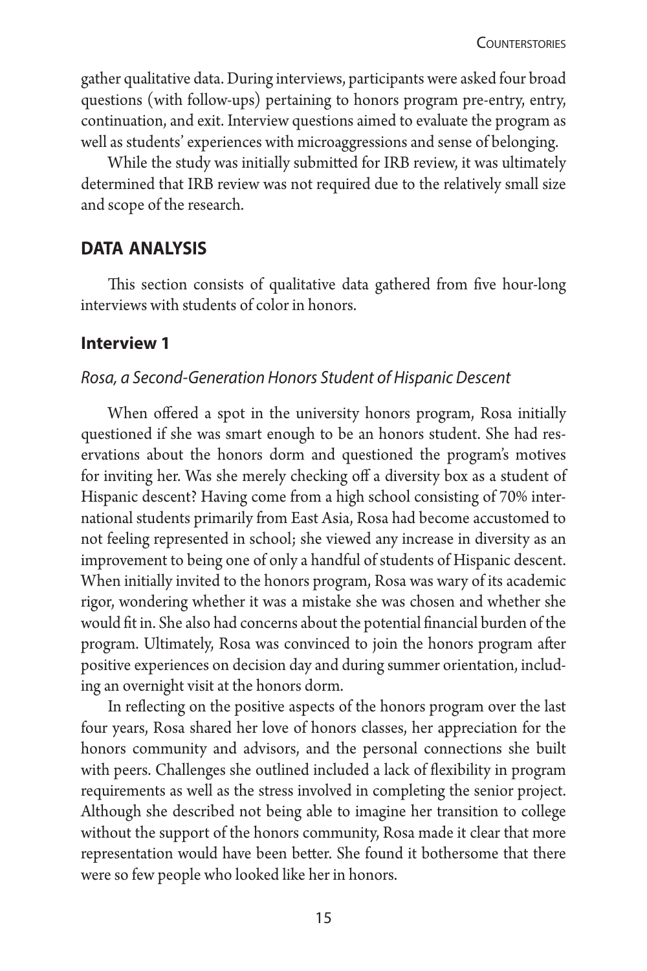gather qualitative data. During interviews, participants were asked four broad questions (with follow-ups) pertaining to honors program pre-entry, entry, continuation, and exit. Interview questions aimed to evaluate the program as well as students' experiences with microaggressions and sense of belonging.

While the study was initially submitted for IRB review, it was ultimately determined that IRB review was not required due to the relatively small size and scope of the research.

# **data analysis**

This section consists of qualitative data gathered from five hour-long interviews with students of color in honors.

### **Interview 1**

#### *Rosa, a Second-Generation Honors Student of Hispanic Descent*

When offered a spot in the university honors program, Rosa initially questioned if she was smart enough to be an honors student. She had reservations about the honors dorm and questioned the program's motives for inviting her. Was she merely checking off a diversity box as a student of Hispanic descent? Having come from a high school consisting of 70% international students primarily from East Asia, Rosa had become accustomed to not feeling represented in school; she viewed any increase in diversity as an improvement to being one of only a handful of students of Hispanic descent. When initially invited to the honors program, Rosa was wary of its academic rigor, wondering whether it was a mistake she was chosen and whether she would fit in. She also had concerns about the potential financial burden of the program. Ultimately, Rosa was convinced to join the honors program after positive experiences on decision day and during summer orientation, including an overnight visit at the honors dorm.

In reflecting on the positive aspects of the honors program over the last four years, Rosa shared her love of honors classes, her appreciation for the honors community and advisors, and the personal connections she built with peers. Challenges she outlined included a lack of flexibility in program requirements as well as the stress involved in completing the senior project. Although she described not being able to imagine her transition to college without the support of the honors community, Rosa made it clear that more representation would have been better. She found it bothersome that there were so few people who looked like her in honors.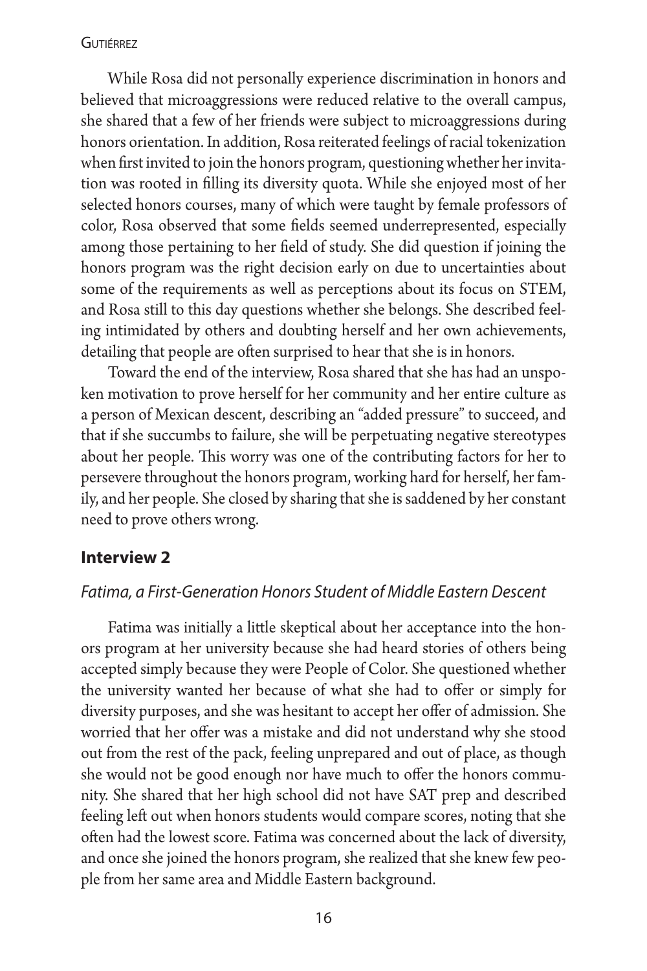While Rosa did not personally experience discrimination in honors and believed that microaggressions were reduced relative to the overall campus, she shared that a few of her friends were subject to microaggressions during honors orientation. In addition, Rosa reiterated feelings of racial tokenization when first invited to join the honors program, questioning whether her invitation was rooted in filling its diversity quota. While she enjoyed most of her selected honors courses, many of which were taught by female professors of color, Rosa observed that some fields seemed underrepresented, especially among those pertaining to her field of study. She did question if joining the honors program was the right decision early on due to uncertainties about some of the requirements as well as perceptions about its focus on STEM, and Rosa still to this day questions whether she belongs. She described feeling intimidated by others and doubting herself and her own achievements, detailing that people are often surprised to hear that she is in honors.

Toward the end of the interview, Rosa shared that she has had an unspoken motivation to prove herself for her community and her entire culture as a person of Mexican descent, describing an "added pressure" to succeed, and that if she succumbs to failure, she will be perpetuating negative stereotypes about her people. This worry was one of the contributing factors for her to persevere throughout the honors program, working hard for herself, her family, and her people. She closed by sharing that she is saddened by her constant need to prove others wrong.

#### **Interview 2**

#### *Fatima, a First-Generation Honors Student of Middle Eastern Descent*

Fatima was initially a little skeptical about her acceptance into the honors program at her university because she had heard stories of others being accepted simply because they were People of Color. She questioned whether the university wanted her because of what she had to offer or simply for diversity purposes, and she was hesitant to accept her offer of admission. She worried that her offer was a mistake and did not understand why she stood out from the rest of the pack, feeling unprepared and out of place, as though she would not be good enough nor have much to offer the honors community. She shared that her high school did not have SAT prep and described feeling left out when honors students would compare scores, noting that she often had the lowest score. Fatima was concerned about the lack of diversity, and once she joined the honors program, she realized that she knew few people from her same area and Middle Eastern background.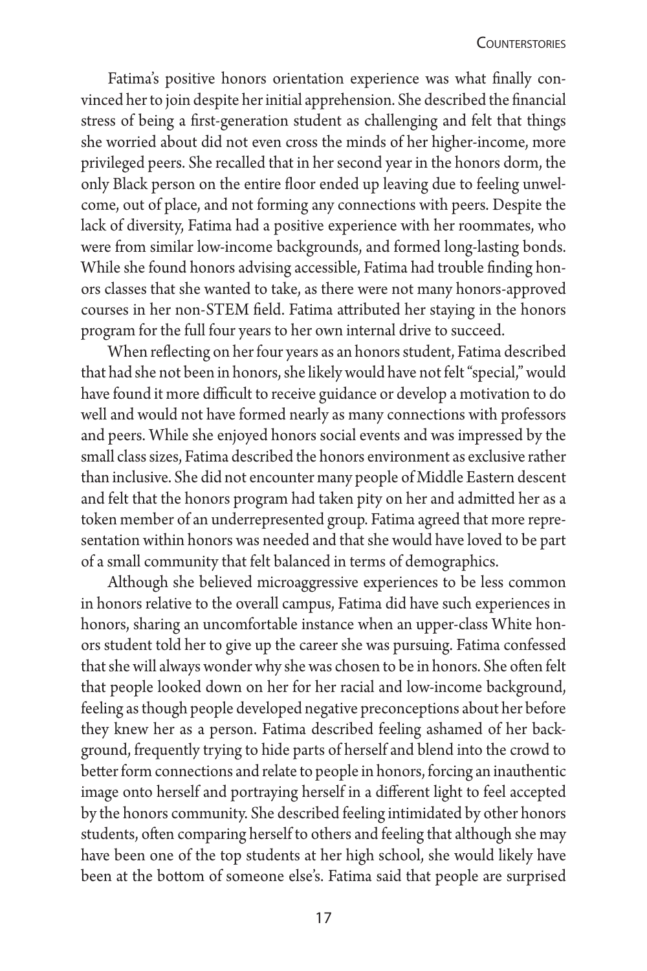Fatima's positive honors orientation experience was what finally convinced her to join despite her initial apprehension. She described the financial stress of being a first-generation student as challenging and felt that things she worried about did not even cross the minds of her higher-income, more privileged peers. She recalled that in her second year in the honors dorm, the only Black person on the entire floor ended up leaving due to feeling unwelcome, out of place, and not forming any connections with peers. Despite the lack of diversity, Fatima had a positive experience with her roommates, who were from similar low-income backgrounds, and formed long-lasting bonds. While she found honors advising accessible, Fatima had trouble finding honors classes that she wanted to take, as there were not many honors-approved courses in her non-STEM field. Fatima attributed her staying in the honors program for the full four years to her own internal drive to succeed.

When reflecting on her four years as an honors student, Fatima described that had she not been in honors, she likely would have not felt "special," would have found it more difficult to receive guidance or develop a motivation to do well and would not have formed nearly as many connections with professors and peers. While she enjoyed honors social events and was impressed by the small class sizes, Fatima described the honors environment as exclusive rather than inclusive. She did not encounter many people of Middle Eastern descent and felt that the honors program had taken pity on her and admitted her as a token member of an underrepresented group. Fatima agreed that more representation within honors was needed and that she would have loved to be part of a small community that felt balanced in terms of demographics.

Although she believed microaggressive experiences to be less common in honors relative to the overall campus, Fatima did have such experiences in honors, sharing an uncomfortable instance when an upper-class White honors student told her to give up the career she was pursuing. Fatima confessed that she will always wonder why she was chosen to be in honors. She often felt that people looked down on her for her racial and low-income background, feeling as though people developed negative preconceptions about her before they knew her as a person. Fatima described feeling ashamed of her background, frequently trying to hide parts of herself and blend into the crowd to better form connections and relate to people in honors, forcing an inauthentic image onto herself and portraying herself in a different light to feel accepted by the honors community. She described feeling intimidated by other honors students, often comparing herself to others and feeling that although she may have been one of the top students at her high school, she would likely have been at the bottom of someone else's. Fatima said that people are surprised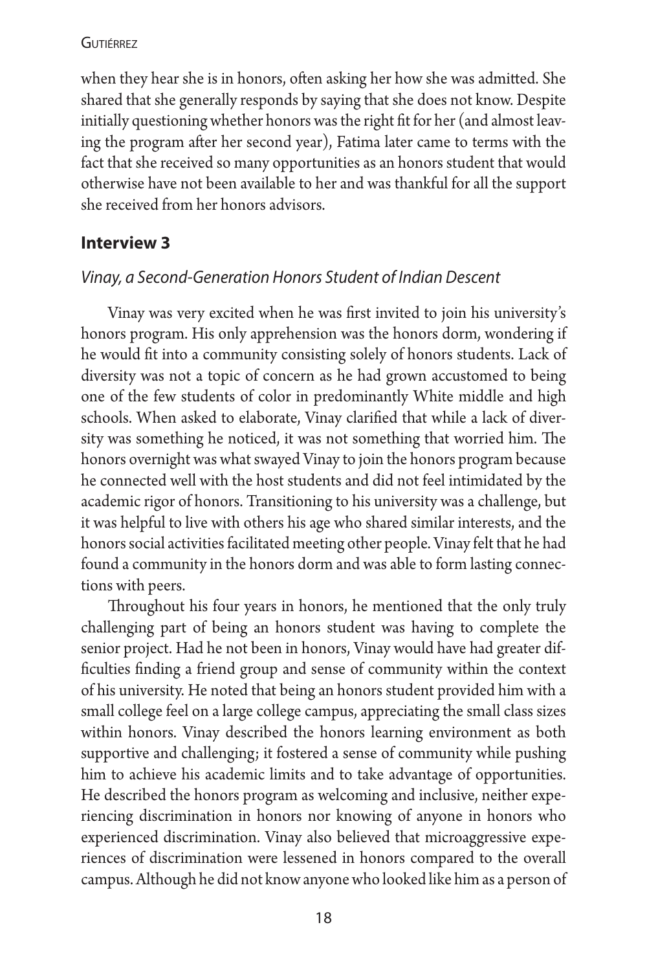when they hear she is in honors, often asking her how she was admitted. She shared that she generally responds by saying that she does not know. Despite initially questioning whether honors was the right fit for her (and almost leaving the program after her second year), Fatima later came to terms with the fact that she received so many opportunities as an honors student that would otherwise have not been available to her and was thankful for all the support she received from her honors advisors.

# **Interview 3**

# *Vinay, a Second-Generation Honors Student of Indian Descent*

Vinay was very excited when he was first invited to join his university's honors program. His only apprehension was the honors dorm, wondering if he would fit into a community consisting solely of honors students. Lack of diversity was not a topic of concern as he had grown accustomed to being one of the few students of color in predominantly White middle and high schools. When asked to elaborate, Vinay clarified that while a lack of diversity was something he noticed, it was not something that worried him. The honors overnight was what swayed Vinay to join the honors program because he connected well with the host students and did not feel intimidated by the academic rigor of honors. Transitioning to his university was a challenge, but it was helpful to live with others his age who shared similar interests, and the honors social activities facilitated meeting other people. Vinay felt that he had found a community in the honors dorm and was able to form lasting connections with peers.

Throughout his four years in honors, he mentioned that the only truly challenging part of being an honors student was having to complete the senior project. Had he not been in honors, Vinay would have had greater difficulties finding a friend group and sense of community within the context of his university. He noted that being an honors student provided him with a small college feel on a large college campus, appreciating the small class sizes within honors. Vinay described the honors learning environment as both supportive and challenging; it fostered a sense of community while pushing him to achieve his academic limits and to take advantage of opportunities. He described the honors program as welcoming and inclusive, neither experiencing discrimination in honors nor knowing of anyone in honors who experienced discrimination. Vinay also believed that microaggressive experiences of discrimination were lessened in honors compared to the overall campus. Although he did not know anyone who looked like him as a person of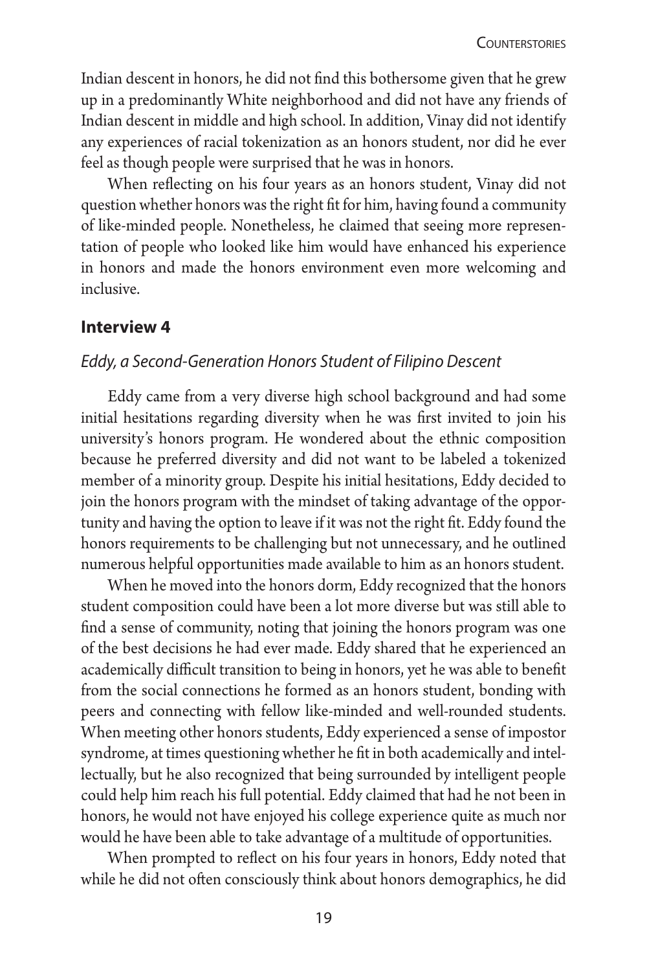Indian descent in honors, he did not find this bothersome given that he grew up in a predominantly White neighborhood and did not have any friends of Indian descent in middle and high school. In addition, Vinay did not identify any experiences of racial tokenization as an honors student, nor did he ever feel as though people were surprised that he was in honors.

When reflecting on his four years as an honors student, Vinay did not question whether honors was the right fit for him, having found a community of like-minded people. Nonetheless, he claimed that seeing more representation of people who looked like him would have enhanced his experience in honors and made the honors environment even more welcoming and inclusive.

#### **Interview 4**

#### *Eddy, a Second-Generation Honors Student of Filipino Descent*

Eddy came from a very diverse high school background and had some initial hesitations regarding diversity when he was first invited to join his university's honors program. He wondered about the ethnic composition because he preferred diversity and did not want to be labeled a tokenized member of a minority group. Despite his initial hesitations, Eddy decided to join the honors program with the mindset of taking advantage of the opportunity and having the option to leave if it was not the right fit. Eddy found the honors requirements to be challenging but not unnecessary, and he outlined numerous helpful opportunities made available to him as an honors student.

When he moved into the honors dorm, Eddy recognized that the honors student composition could have been a lot more diverse but was still able to find a sense of community, noting that joining the honors program was one of the best decisions he had ever made. Eddy shared that he experienced an academically difficult transition to being in honors, yet he was able to benefit from the social connections he formed as an honors student, bonding with peers and connecting with fellow like-minded and well-rounded students. When meeting other honors students, Eddy experienced a sense of impostor syndrome, at times questioning whether he fit in both academically and intellectually, but he also recognized that being surrounded by intelligent people could help him reach his full potential. Eddy claimed that had he not been in honors, he would not have enjoyed his college experience quite as much nor would he have been able to take advantage of a multitude of opportunities.

When prompted to reflect on his four years in honors, Eddy noted that while he did not often consciously think about honors demographics, he did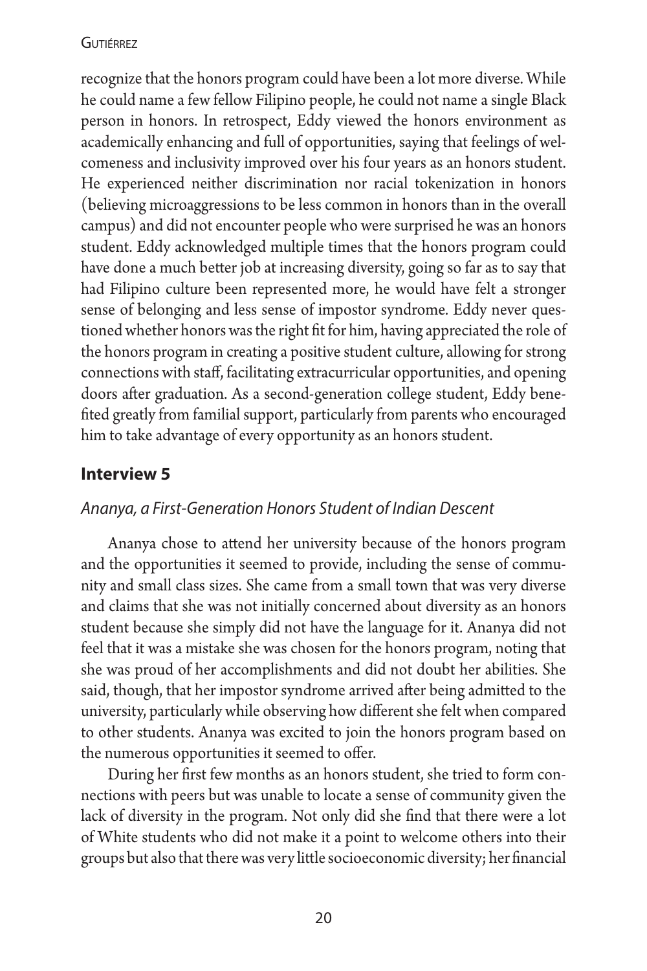recognize that the honors program could have been a lot more diverse. While he could name a few fellow Filipino people, he could not name a single Black person in honors. In retrospect, Eddy viewed the honors environment as academically enhancing and full of opportunities, saying that feelings of welcomeness and inclusivity improved over his four years as an honors student. He experienced neither discrimination nor racial tokenization in honors (believing microaggressions to be less common in honors than in the overall campus) and did not encounter people who were surprised he was an honors student. Eddy acknowledged multiple times that the honors program could have done a much better job at increasing diversity, going so far as to say that had Filipino culture been represented more, he would have felt a stronger sense of belonging and less sense of impostor syndrome. Eddy never questioned whether honors was the right fit for him, having appreciated the role of the honors program in creating a positive student culture, allowing for strong connections with staff, facilitating extracurricular opportunities, and opening doors after graduation. As a second-generation college student, Eddy benefited greatly from familial support, particularly from parents who encouraged him to take advantage of every opportunity as an honors student.

# **Interview 5**

# *Ananya, a First-Generation Honors Student of Indian Descent*

Ananya chose to attend her university because of the honors program and the opportunities it seemed to provide, including the sense of community and small class sizes. She came from a small town that was very diverse and claims that she was not initially concerned about diversity as an honors student because she simply did not have the language for it. Ananya did not feel that it was a mistake she was chosen for the honors program, noting that she was proud of her accomplishments and did not doubt her abilities. She said, though, that her impostor syndrome arrived after being admitted to the university, particularly while observing how different she felt when compared to other students. Ananya was excited to join the honors program based on the numerous opportunities it seemed to offer.

During her first few months as an honors student, she tried to form connections with peers but was unable to locate a sense of community given the lack of diversity in the program. Not only did she find that there were a lot of White students who did not make it a point to welcome others into their groups but also that there was very little socioeconomic diversity; her financial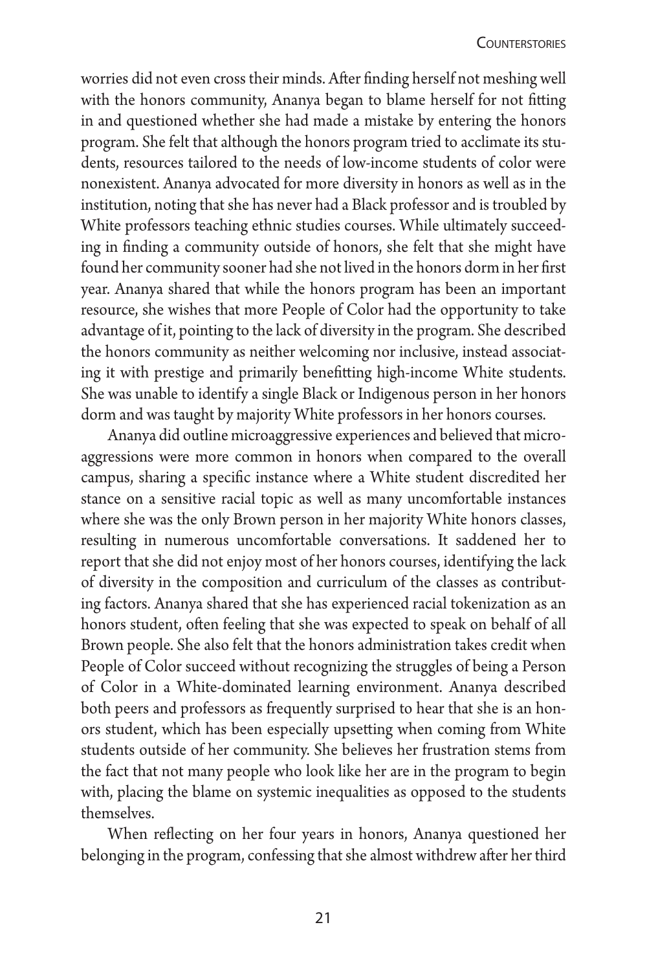worries did not even cross their minds. After finding herself not meshing well with the honors community, Ananya began to blame herself for not fitting in and questioned whether she had made a mistake by entering the honors program. She felt that although the honors program tried to acclimate its students, resources tailored to the needs of low-income students of color were nonexistent. Ananya advocated for more diversity in honors as well as in the institution, noting that she has never had a Black professor and is troubled by White professors teaching ethnic studies courses. While ultimately succeeding in finding a community outside of honors, she felt that she might have found her community sooner had she not lived in the honors dorm in her first year. Ananya shared that while the honors program has been an important resource, she wishes that more People of Color had the opportunity to take advantage of it, pointing to the lack of diversity in the program. She described the honors community as neither welcoming nor inclusive, instead associating it with prestige and primarily benefitting high-income White students. She was unable to identify a single Black or Indigenous person in her honors dorm and was taught by majority White professors in her honors courses.

Ananya did outline microaggressive experiences and believed that microaggressions were more common in honors when compared to the overall campus, sharing a specific instance where a White student discredited her stance on a sensitive racial topic as well as many uncomfortable instances where she was the only Brown person in her majority White honors classes, resulting in numerous uncomfortable conversations. It saddened her to report that she did not enjoy most of her honors courses, identifying the lack of diversity in the composition and curriculum of the classes as contributing factors. Ananya shared that she has experienced racial tokenization as an honors student, often feeling that she was expected to speak on behalf of all Brown people. She also felt that the honors administration takes credit when People of Color succeed without recognizing the struggles of being a Person of Color in a White-dominated learning environment. Ananya described both peers and professors as frequently surprised to hear that she is an honors student, which has been especially upsetting when coming from White students outside of her community. She believes her frustration stems from the fact that not many people who look like her are in the program to begin with, placing the blame on systemic inequalities as opposed to the students themselves.

When reflecting on her four years in honors, Ananya questioned her belonging in the program, confessing that she almost withdrew after her third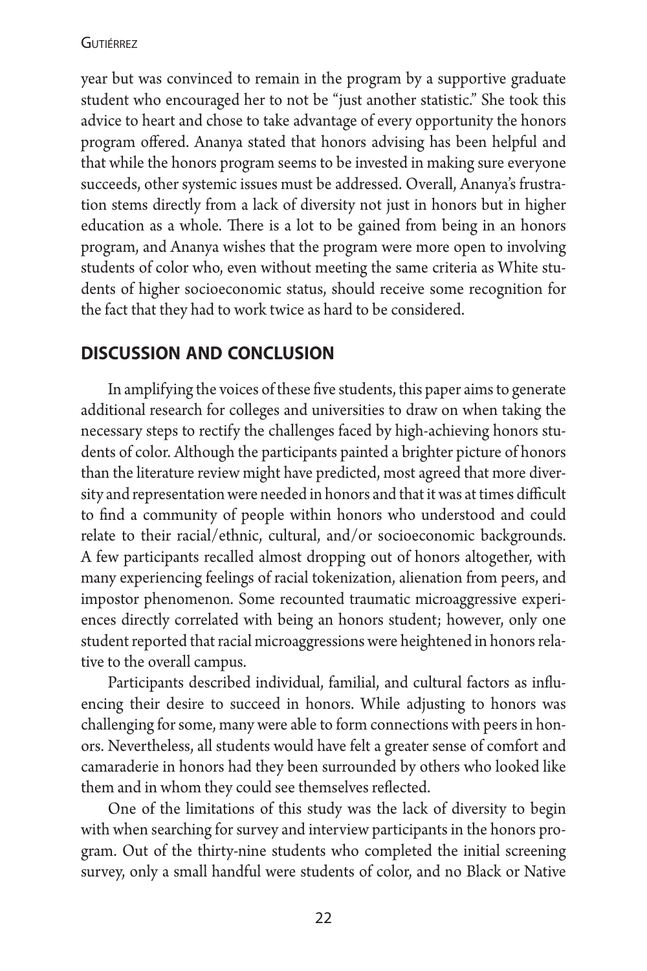year but was convinced to remain in the program by a supportive graduate student who encouraged her to not be "just another statistic." She took this advice to heart and chose to take advantage of every opportunity the honors program offered. Ananya stated that honors advising has been helpful and that while the honors program seems to be invested in making sure everyone succeeds, other systemic issues must be addressed. Overall, Ananya's frustration stems directly from a lack of diversity not just in honors but in higher education as a whole. There is a lot to be gained from being in an honors program, and Ananya wishes that the program were more open to involving students of color who, even without meeting the same criteria as White students of higher socioeconomic status, should receive some recognition for the fact that they had to work twice as hard to be considered.

# **discussion and conclusion**

In amplifying the voices of these five students, this paper aims to generate additional research for colleges and universities to draw on when taking the necessary steps to rectify the challenges faced by high-achieving honors students of color. Although the participants painted a brighter picture of honors than the literature review might have predicted, most agreed that more diversity and representation were needed in honors and that it was at times difficult to find a community of people within honors who understood and could relate to their racial/ethnic, cultural, and/or socioeconomic backgrounds. A few participants recalled almost dropping out of honors altogether, with many experiencing feelings of racial tokenization, alienation from peers, and impostor phenomenon. Some recounted traumatic microaggressive experiences directly correlated with being an honors student; however, only one student reported that racial microaggressions were heightened in honors relative to the overall campus.

Participants described individual, familial, and cultural factors as influencing their desire to succeed in honors. While adjusting to honors was challenging for some, many were able to form connections with peers in honors. Nevertheless, all students would have felt a greater sense of comfort and camaraderie in honors had they been surrounded by others who looked like them and in whom they could see themselves reflected.

One of the limitations of this study was the lack of diversity to begin with when searching for survey and interview participants in the honors program. Out of the thirty-nine students who completed the initial screening survey, only a small handful were students of color, and no Black or Native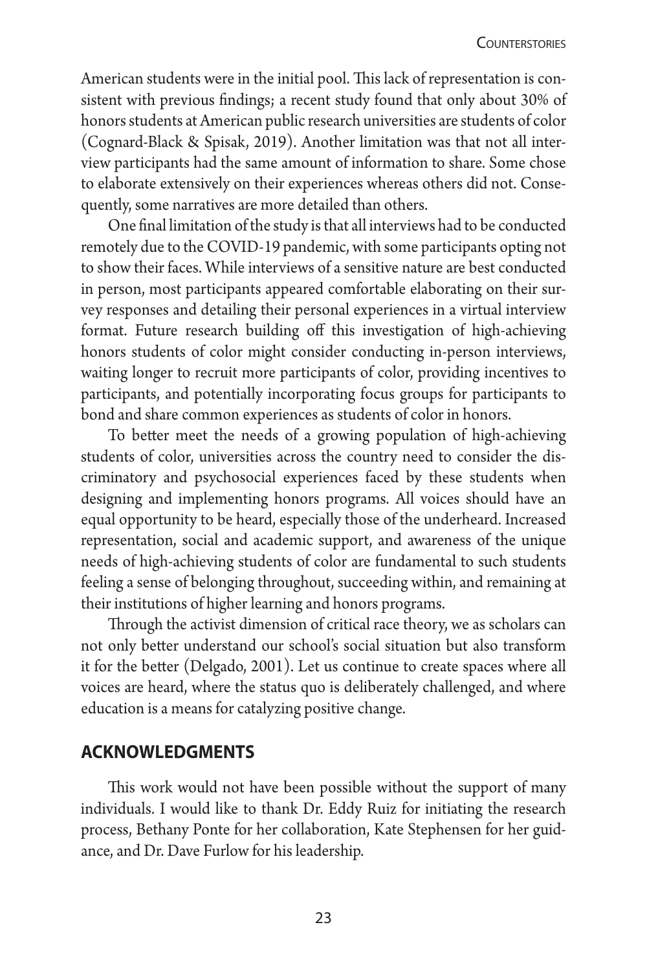American students were in the initial pool. This lack of representation is consistent with previous findings; a recent study found that only about 30% of honors students at American public research universities are students of color (Cognard-Black & Spisak, 2019). Another limitation was that not all interview participants had the same amount of information to share. Some chose to elaborate extensively on their experiences whereas others did not. Consequently, some narratives are more detailed than others.

One final limitation of the study is that all interviews had to be conducted remotely due to the COVID-19 pandemic, with some participants opting not to show their faces. While interviews of a sensitive nature are best conducted in person, most participants appeared comfortable elaborating on their survey responses and detailing their personal experiences in a virtual interview format. Future research building off this investigation of high-achieving honors students of color might consider conducting in-person interviews, waiting longer to recruit more participants of color, providing incentives to participants, and potentially incorporating focus groups for participants to bond and share common experiences as students of color in honors.

To better meet the needs of a growing population of high-achieving students of color, universities across the country need to consider the discriminatory and psychosocial experiences faced by these students when designing and implementing honors programs. All voices should have an equal opportunity to be heard, especially those of the underheard. Increased representation, social and academic support, and awareness of the unique needs of high-achieving students of color are fundamental to such students feeling a sense of belonging throughout, succeeding within, and remaining at their institutions of higher learning and honors programs.

Through the activist dimension of critical race theory, we as scholars can not only better understand our school's social situation but also transform it for the better (Delgado, 2001). Let us continue to create spaces where all voices are heard, where the status quo is deliberately challenged, and where education is a means for catalyzing positive change.

# **acknowledgments**

This work would not have been possible without the support of many individuals. I would like to thank Dr. Eddy Ruiz for initiating the research process, Bethany Ponte for her collaboration, Kate Stephensen for her guidance, and Dr. Dave Furlow for his leadership.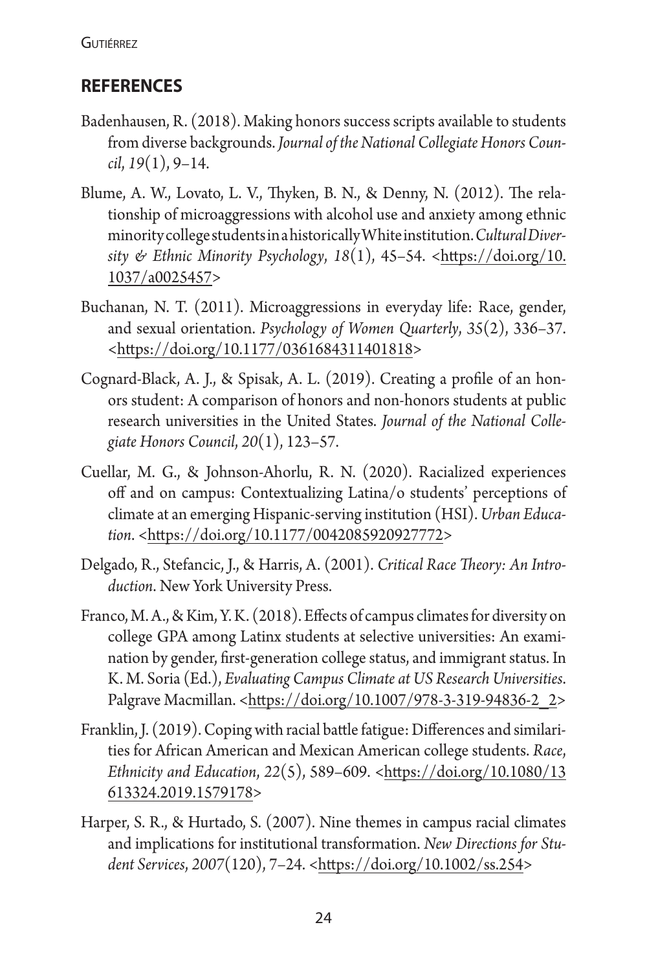# **references**

- Badenhausen, R. (2018). Making honors success scripts available to students from diverse backgrounds. *Journal of the National Collegiate Honors Council*, *19*(1), 9–14.
- Blume, A. W., Lovato, L. V., Thyken, B. N., & Denny, N. (2012). The relationship of microaggressions with alcohol use and anxiety among ethnic minority college students in a historically White institution.*Cultural Diversity & Ethnic Minority Psychology*, *18*(1), 45–54. [<https://doi.org/10.](https://doi.org/10.1037/a0025457) [1037/a0025457>](https://doi.org/10.1037/a0025457)
- Buchanan, N. T. (2011). Microaggressions in everyday life: Race, gender, and sexual orientation. *Psychology of Women Quarterly*, *35*(2), 336–37. [<https://doi.org/10.1177/0361684311401818>](https://doi.org/10.1177/0361684311401818)
- Cognard-Black, A. J., & Spisak, A. L. (2019). Creating a profile of an honors student: A comparison of honors and non-honors students at public research universities in the United States. *Journal of the National Collegiate Honors Council*, *20*(1), 123–57.
- Cuellar, M. G., & Johnson-Ahorlu, R. N. (2020). Racialized experiences off and on campus: Contextualizing Latina/o students' perceptions of climate at an emerging Hispanic-serving institution (HSI).*Urban Education*. <[https://doi.org/10.1177/0042085920927772>](https://doi.org/10.1177/0042085920927772)
- Delgado, R., Stefancic, J., & Harris, A. (2001). *Critical Race Theory: An Introduction*. New York University Press.
- Franco, M. A., & Kim, Y. K. (2018). Effects of campus climates for diversity on college GPA among Latinx students at selective universities: An examination by gender, first-generation college status, and immigrant status. In K. M. Soria (Ed.), *Evaluating Campus Climate at US Research Universities*. Palgrave Macmillan. <[https://doi.org/10.1007/978-3-319-94836-2\\_2>](https://doi.org/10.1007/978-3-319-94836-2_2)
- Franklin, J. (2019). Coping with racial battle fatigue: Differences and similarities for African American and Mexican American college students. *Race*, *Ethnicity and Education, 22(5), 589-609.* <[https://doi.org/10.1080/13](https://doi.org/10.1080/13613324.2019.1579178) [613324.2019.1579178>](https://doi.org/10.1080/13613324.2019.1579178)
- Harper, S. R., & Hurtado, S. (2007). Nine themes in campus racial climates and implications for institutional transformation. *New Directions for Student Services*, *2007*(120), 7–24. [<https://doi.org/10.1002/ss.254](https://doi.org/10.1002/ss.254)>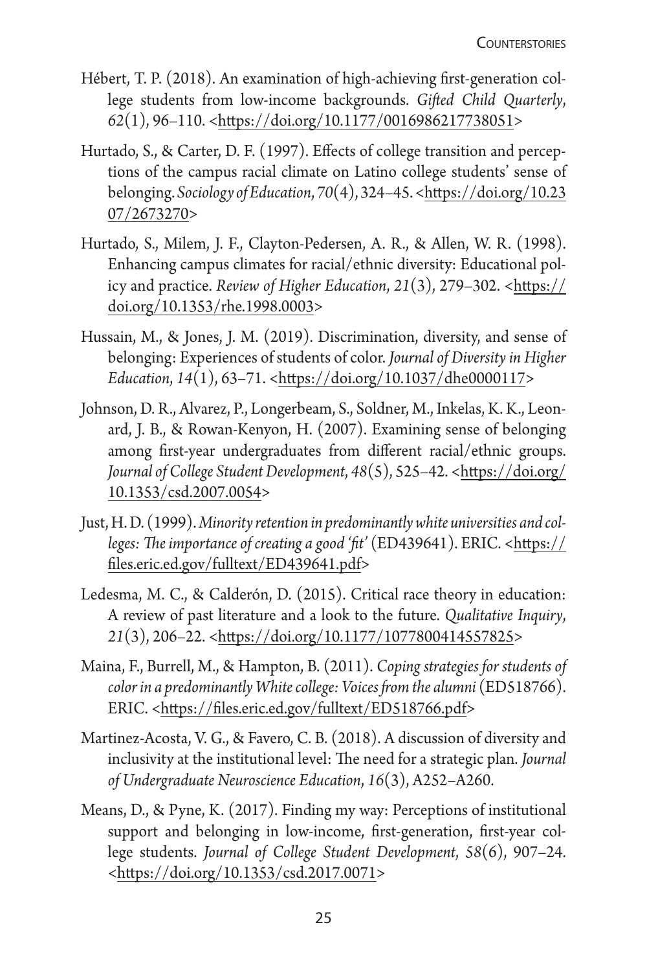- Hébert, T. P. (2018). An examination of high-achieving first-generation college students from low-income backgrounds. *Gifted Child Quarterly*, *62*(1), 96–110. <<https://doi.org/10.1177/0016986217738051>>
- Hurtado, S., & Carter, D. F. (1997). Effects of college transition and perceptions of the campus racial climate on Latino college students' sense of belonging.*Sociology of Education*, *70*(4), 324–45. [<https://doi.org/10.23](https://doi.org/10.2307/2673270) [07/2673270](https://doi.org/10.2307/2673270)>
- Hurtado, S., Milem, J. F., Clayton-Pedersen, A. R., & Allen, W. R. (1998). Enhancing campus climates for racial/ethnic diversity: Educational policy and practice. *Review of Higher Education*, 21(3), 279–302. <[https://](https://doi.org/10.1353/rhe.1998.0003) [doi.org/10.1353/rhe.1998.0003>](https://doi.org/10.1353/rhe.1998.0003)
- Hussain, M., & Jones, J. M. (2019). Discrimination, diversity, and sense of belonging: Experiences of students of color. *Journal of Diversity in Higher Education*, *14*(1), 63–71. <[https://doi.org/10.1037/dhe0000117>](https://psycnet.apa.org/doi/10.1037/dhe0000117)
- Johnson, D. R., Alvarez, P., Longerbeam, S., Soldner, M., Inkelas, K. K., Leonard, J. B., & Rowan-Kenyon, H. (2007). Examining sense of belonging among first-year undergraduates from different racial/ethnic groups. *Journal of College Student Development*, *48*(5), 525–42. [<https://doi.org/](https://doi.org/10.1353/csd.2007.0054) [10.1353/csd.2007.0054](https://doi.org/10.1353/csd.2007.0054)>
- Just, H. D. (1999).*Minority retention in predominantly white universities and col*leges: The importance of creating a good 'fit' (ED439641). ERIC. <[https://](https://files.eric.ed.gov/fulltext/ED439641.pdf) [files.eric.ed.gov/fulltext/ED439641.pdf>](https://files.eric.ed.gov/fulltext/ED439641.pdf)
- Ledesma, M. C., & Calderón, D. (2015). Critical race theory in education: A review of past literature and a look to the future. *Qualitative Inquiry*, *21*(3), 206–22. <<https://doi.org/10.1177/1077800414557825>>
- Maina, F., Burrell, M., & Hampton, B. (2011). *Coping strategies for students of color in a predominantly White college: Voices from the alumni* (ED518766). ERIC. [<https://files.eric.ed.gov/fulltext/ED518766.pdf](https://files.eric.ed.gov/fulltext/ED518766.pdf)>
- Martinez-Acosta, V. G., & Favero, C. B. (2018). A discussion of diversity and inclusivity at the institutional level: The need for a strategic plan. *Journal of Undergraduate Neuroscience Education*, *16*(3), A252–A260.
- Means, D., & Pyne, K. (2017). Finding my way: Perceptions of institutional support and belonging in low-income, first-generation, first-year college students. *Journal of College Student Development*, *58*(6), 907–24. [<https://doi.org/10.1353/csd.2017.0071](https://doi.org/10.1353/csd.2017.0071)>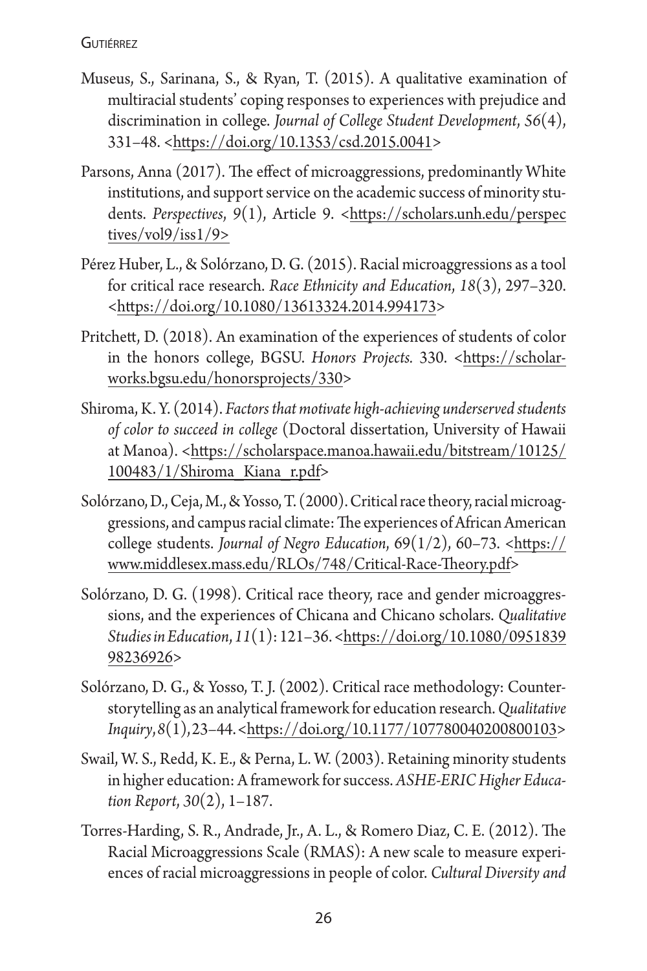- Museus, S., Sarinana, S., & Ryan, T. (2015). A qualitative examination of multiracial students' coping responses to experiences with prejudice and discrimination in college. *Journal of College Student Development*, *56*(4), 331–48. <[https://doi.org/10.1353/csd.2015.0041>](https://doi.org/10.1353/csd.2015.0041)
- Parsons, Anna (2017). The effect of microaggressions, predominantly White institutions, and support service on the academic success of minority students. Perspectives, 9(1), Article 9. <[https://scholars.unh.edu/perspec](https://scholars.unh.edu/perspectives/vol9/iss1/9) [tives/vol9/iss1/9>](https://scholars.unh.edu/perspectives/vol9/iss1/9)
- Pérez Huber, L., & Solórzano, D. G. (2015). Racial microaggressions as a tool for critical race research. *Race Ethnicity and Education*, *18*(3), 297–320. [<https://doi.org/10.1080/13613324.2014.994173](https://doi.org/10.1080/13613324.2014.994173)>
- Pritchett, D. (2018). An examination of the experiences of students of color in the honors college, BGSU. *Honors Projects.* 330. [<https://scholar](https://scholarworks.bgsu.edu/honorsprojects/330/)[works.bgsu.edu/honorsprojects/330>](https://scholarworks.bgsu.edu/honorsprojects/330/)
- Shiroma, K. Y. (2014). *Factors that motivate high-achieving underserved students of color to succeed in college* (Doctoral dissertation, University of Hawaii at Manoa). [<https://scholarspace.manoa.hawaii.edu/bitstream/10125/](https://scholarspace.manoa.hawaii.edu/bitstream/10125/100483/1/Shiroma_Kiana_r.pdf) [100483/1/Shiroma\\_Kiana\\_r.pdf>](https://scholarspace.manoa.hawaii.edu/bitstream/10125/100483/1/Shiroma_Kiana_r.pdf)
- Solórzano, D., Ceja, M., & Yosso, T. (2000). Critical race theory, racial microaggressions, and campus racial climate: The experiences of African American college students. *Journal of Negro Education*, 69(1/2), 60–73. [<https://](https://www.middlesex.mass.edu/RLOs/748/Critical-Race-Theory.pdf) [www.middlesex.mass.edu/RLOs/748/Critical-Race-Theory.pdf>](https://www.middlesex.mass.edu/RLOs/748/Critical-Race-Theory.pdf)
- Solórzano, D. G. (1998). Critical race theory, race and gender microaggressions, and the experiences of Chicana and Chicano scholars. *Qualitative Studies in Education*, *11*(1): 121–36. [<https://doi.org/10.1080/0951839](https://doi.org/10.1080/095183998236926) [98236926](https://doi.org/10.1080/095183998236926)>
- Solórzano, D. G., & Yosso, T. J. (2002). Critical race methodology: Counterstorytelling as an analytical framework for education research.*Qualitative Inquiry*, *8*(1), 23–44. <[https://doi.org/10.1177/107780040200800103>](https://doi.org/10.1177/107780040200800103)
- Swail, W. S., Redd, K. E., & Perna, L. W. (2003). Retaining minority students in higher education: A framework for success. *ASHE-ERIC Higher Education Report*, *30*(2), 1–187.
- Torres-Harding, S. R., Andrade, Jr., A. L., & Romero Diaz, C. E. (2012). The Racial Microaggressions Scale (RMAS): A new scale to measure experiences of racial microaggressions in people of color. *Cultural Diversity and*